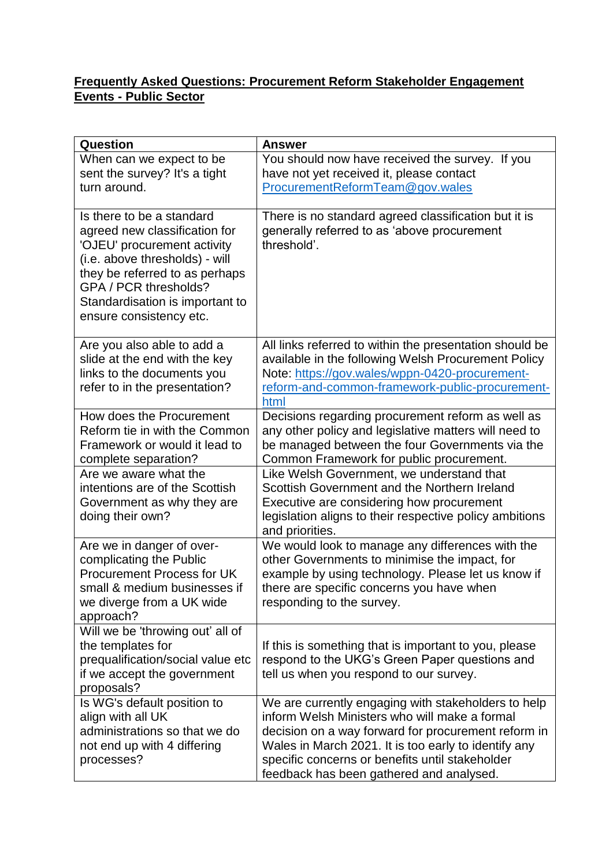## **Frequently Asked Questions: Procurement Reform Stakeholder Engagement Events - Public Sector**

| Question                                                                                                                                                                                                                                             | <b>Answer</b>                                                                                                                                                                                                                                                                                                      |
|------------------------------------------------------------------------------------------------------------------------------------------------------------------------------------------------------------------------------------------------------|--------------------------------------------------------------------------------------------------------------------------------------------------------------------------------------------------------------------------------------------------------------------------------------------------------------------|
| When can we expect to be<br>sent the survey? It's a tight<br>turn around.                                                                                                                                                                            | You should now have received the survey. If you<br>have not yet received it, please contact<br>ProcurementReformTeam@gov.wales                                                                                                                                                                                     |
| Is there to be a standard<br>agreed new classification for<br>'OJEU' procurement activity<br>(i.e. above thresholds) - will<br>they be referred to as perhaps<br>GPA / PCR thresholds?<br>Standardisation is important to<br>ensure consistency etc. | There is no standard agreed classification but it is<br>generally referred to as 'above procurement<br>threshold'.                                                                                                                                                                                                 |
| Are you also able to add a<br>slide at the end with the key<br>links to the documents you<br>refer to in the presentation?                                                                                                                           | All links referred to within the presentation should be<br>available in the following Welsh Procurement Policy<br>Note: https://gov.wales/wppn-0420-procurement-<br>reform-and-common-framework-public-procurement-<br>html                                                                                        |
| How does the Procurement<br>Reform tie in with the Common<br>Framework or would it lead to<br>complete separation?                                                                                                                                   | Decisions regarding procurement reform as well as<br>any other policy and legislative matters will need to<br>be managed between the four Governments via the<br>Common Framework for public procurement.                                                                                                          |
| Are we aware what the<br>intentions are of the Scottish<br>Government as why they are<br>doing their own?                                                                                                                                            | Like Welsh Government, we understand that<br>Scottish Government and the Northern Ireland<br>Executive are considering how procurement<br>legislation aligns to their respective policy ambitions<br>and priorities.                                                                                               |
| Are we in danger of over-<br>complicating the Public<br><b>Procurement Process for UK</b><br>small & medium businesses if<br>we diverge from a UK wide<br>approach?                                                                                  | We would look to manage any differences with the<br>other Governments to minimise the impact, for<br>example by using technology. Please let us know if<br>there are specific concerns you have when<br>responding to the survey.                                                                                  |
| Will we be 'throwing out' all of<br>the templates for<br>prequalification/social value etc<br>if we accept the government<br>proposals?                                                                                                              | If this is something that is important to you, please<br>respond to the UKG's Green Paper questions and<br>tell us when you respond to our survey.                                                                                                                                                                 |
| Is WG's default position to<br>align with all UK<br>administrations so that we do<br>not end up with 4 differing<br>processes?                                                                                                                       | We are currently engaging with stakeholders to help<br>inform Welsh Ministers who will make a formal<br>decision on a way forward for procurement reform in<br>Wales in March 2021. It is too early to identify any<br>specific concerns or benefits until stakeholder<br>feedback has been gathered and analysed. |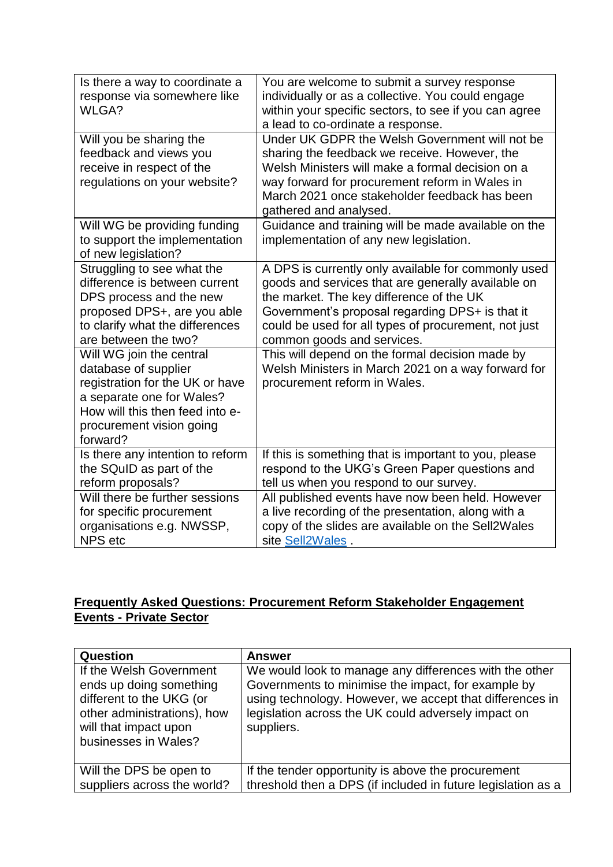| Is there a way to coordinate a<br>response via somewhere like<br>WLGA?                                                                                                                      | You are welcome to submit a survey response<br>individually or as a collective. You could engage<br>within your specific sectors, to see if you can agree<br>a lead to co-ordinate a response.                                                                                                 |
|---------------------------------------------------------------------------------------------------------------------------------------------------------------------------------------------|------------------------------------------------------------------------------------------------------------------------------------------------------------------------------------------------------------------------------------------------------------------------------------------------|
| Will you be sharing the<br>feedback and views you<br>receive in respect of the<br>regulations on your website?                                                                              | Under UK GDPR the Welsh Government will not be<br>sharing the feedback we receive. However, the<br>Welsh Ministers will make a formal decision on a<br>way forward for procurement reform in Wales in<br>March 2021 once stakeholder feedback has been<br>gathered and analysed.               |
| Will WG be providing funding<br>to support the implementation<br>of new legislation?                                                                                                        | Guidance and training will be made available on the<br>implementation of any new legislation.                                                                                                                                                                                                  |
| Struggling to see what the<br>difference is between current<br>DPS process and the new<br>proposed DPS+, are you able<br>to clarify what the differences<br>are between the two?            | A DPS is currently only available for commonly used<br>goods and services that are generally available on<br>the market. The key difference of the UK<br>Government's proposal regarding DPS+ is that it<br>could be used for all types of procurement, not just<br>common goods and services. |
| Will WG join the central<br>database of supplier<br>registration for the UK or have<br>a separate one for Wales?<br>How will this then feed into e-<br>procurement vision going<br>forward? | This will depend on the formal decision made by<br>Welsh Ministers in March 2021 on a way forward for<br>procurement reform in Wales.                                                                                                                                                          |
| Is there any intention to reform<br>the SQuID as part of the<br>reform proposals?                                                                                                           | If this is something that is important to you, please<br>respond to the UKG's Green Paper questions and<br>tell us when you respond to our survey.                                                                                                                                             |
| Will there be further sessions<br>for specific procurement<br>organisations e.g. NWSSP,<br><b>NPS</b> etc                                                                                   | All published events have now been held. However<br>a live recording of the presentation, along with a<br>copy of the slides are available on the Sell2Wales<br>site Sell2Wales.                                                                                                               |

## **Frequently Asked Questions: Procurement Reform Stakeholder Engagement Events - Private Sector**

| <b>Question</b>                                                                                                                                                | <b>Answer</b>                                                                                                                                                                                                                                 |
|----------------------------------------------------------------------------------------------------------------------------------------------------------------|-----------------------------------------------------------------------------------------------------------------------------------------------------------------------------------------------------------------------------------------------|
| If the Welsh Government<br>ends up doing something<br>different to the UKG (or<br>other administrations), how<br>will that impact upon<br>businesses in Wales? | We would look to manage any differences with the other<br>Governments to minimise the impact, for example by<br>using technology. However, we accept that differences in<br>legislation across the UK could adversely impact on<br>suppliers. |
| Will the DPS be open to                                                                                                                                        | If the tender opportunity is above the procurement                                                                                                                                                                                            |
| suppliers across the world?                                                                                                                                    | threshold then a DPS (if included in future legislation as a                                                                                                                                                                                  |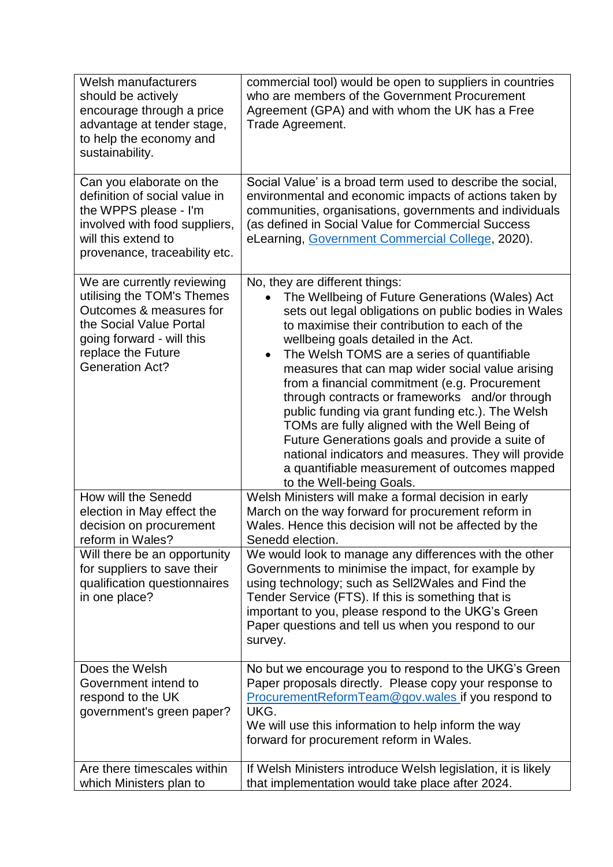| <b>Welsh manufacturers</b><br>should be actively<br>encourage through a price<br>advantage at tender stage,<br>to help the economy and<br>sustainability.                                   | commercial tool) would be open to suppliers in countries<br>who are members of the Government Procurement<br>Agreement (GPA) and with whom the UK has a Free<br>Trade Agreement.                                                                                                                                                                                                                                                                                                                                                                                                                                                                                                                                                                   |
|---------------------------------------------------------------------------------------------------------------------------------------------------------------------------------------------|----------------------------------------------------------------------------------------------------------------------------------------------------------------------------------------------------------------------------------------------------------------------------------------------------------------------------------------------------------------------------------------------------------------------------------------------------------------------------------------------------------------------------------------------------------------------------------------------------------------------------------------------------------------------------------------------------------------------------------------------------|
| Can you elaborate on the<br>definition of social value in<br>the WPPS please - I'm<br>involved with food suppliers,<br>will this extend to<br>provenance, traceability etc.                 | Social Value' is a broad term used to describe the social,<br>environmental and economic impacts of actions taken by<br>communities, organisations, governments and individuals<br>(as defined in Social Value for Commercial Success<br>eLearning, Government Commercial College, 2020).                                                                                                                                                                                                                                                                                                                                                                                                                                                          |
| We are currently reviewing<br>utilising the TOM's Themes<br>Outcomes & measures for<br>the Social Value Portal<br>going forward - will this<br>replace the Future<br><b>Generation Act?</b> | No, they are different things:<br>The Wellbeing of Future Generations (Wales) Act<br>sets out legal obligations on public bodies in Wales<br>to maximise their contribution to each of the<br>wellbeing goals detailed in the Act.<br>The Welsh TOMS are a series of quantifiable<br>$\bullet$<br>measures that can map wider social value arising<br>from a financial commitment (e.g. Procurement<br>through contracts or frameworks and/or through<br>public funding via grant funding etc.). The Welsh<br>TOMs are fully aligned with the Well Being of<br>Future Generations goals and provide a suite of<br>national indicators and measures. They will provide<br>a quantifiable measurement of outcomes mapped<br>to the Well-being Goals. |
| How will the Senedd<br>election in May effect the<br>decision on procurement<br>reform in Wales?                                                                                            | Welsh Ministers will make a formal decision in early<br>March on the way forward for procurement reform in<br>Wales. Hence this decision will not be affected by the<br>Senedd election.                                                                                                                                                                                                                                                                                                                                                                                                                                                                                                                                                           |
| Will there be an opportunity<br>for suppliers to save their<br>qualification questionnaires<br>in one place?                                                                                | We would look to manage any differences with the other<br>Governments to minimise the impact, for example by<br>using technology; such as Sell2Wales and Find the<br>Tender Service (FTS). If this is something that is<br>important to you, please respond to the UKG's Green<br>Paper questions and tell us when you respond to our<br>survey.                                                                                                                                                                                                                                                                                                                                                                                                   |
| Does the Welsh<br>Government intend to<br>respond to the UK<br>government's green paper?                                                                                                    | No but we encourage you to respond to the UKG's Green<br>Paper proposals directly. Please copy your response to<br>ProcurementReformTeam@gov.wales_if you respond to<br>UKG.<br>We will use this information to help inform the way<br>forward for procurement reform in Wales.                                                                                                                                                                                                                                                                                                                                                                                                                                                                    |
| Are there timescales within<br>which Ministers plan to                                                                                                                                      | If Welsh Ministers introduce Welsh legislation, it is likely<br>that implementation would take place after 2024.                                                                                                                                                                                                                                                                                                                                                                                                                                                                                                                                                                                                                                   |